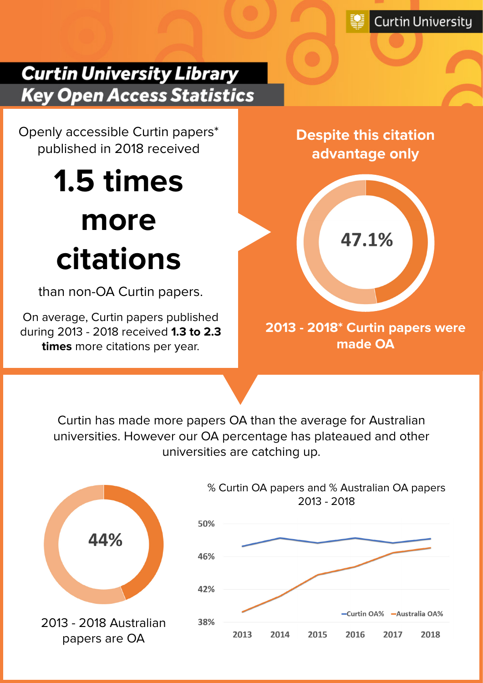# **Curtin University Library Key Open Access Statistics**

Openly accessible Curtin papers\* published in 2018 received

# **1.5 times more citations**

than non-OA Curtin papers.

On average, Curtin papers published during 2013 - 2018 received **1.3 to 2.3 times** more citations per year.

**Despite this citation advantage only** 



**2013 - 2018\* Curtin papers were made OA**

Curtin has made more papers OA than the average for Australian universities. However our OA percentage has plateaued and other universities are catching up.



% Curtin OA papers and % Australian OA papers 2013 - 2018